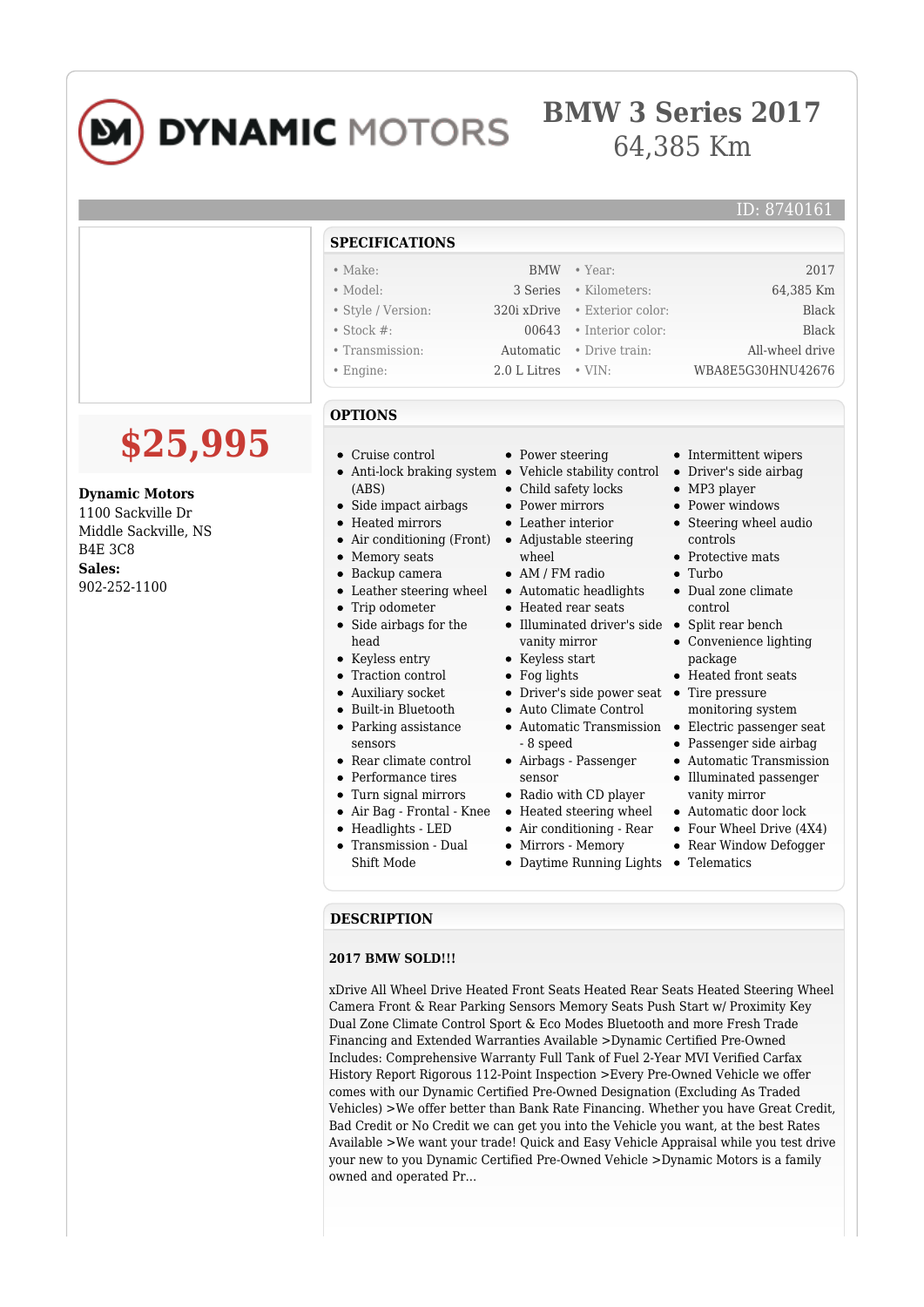

## **DYNAMIC MOTORS**

## **BMW 3 Series 2017** 64,385 Km

## ID: 8740161

| $\bullet$ Year:<br>2017<br>$\bullet$ Make:<br><b>BMW</b><br>$\bullet$ Model:<br>3 Series<br>• Kilometers:<br>64,385 Km<br>· Style / Version:<br>• Exterior color:<br>320i xDrive<br>Black<br>$\bullet$ Stock #:<br>· Interior color:<br><b>Black</b><br>00643<br>All-wheel drive<br>• Transmission:<br>• Drive train:<br>Automatic<br>$\bullet$ VIN:<br>WBA8E5G30HNU42676<br>2.0 L Litres<br>$\bullet$ Engine:<br><b>OPTIONS</b><br>\$25,995<br>• Power steering<br>$\bullet$ Cruise control<br>• Intermittent wipers<br>• Anti-lock braking system • Vehicle stability control<br>• Driver's side airbag<br>• Child safety locks<br>$\bullet$ MP3 player<br>(ABS)<br><b>Dynamic Motors</b><br>$\bullet$ Side impact airbags<br>• Power mirrors<br>• Power windows<br>1100 Sackville Dr<br>• Leather interior<br>• Steering wheel audio<br>• Heated mirrors<br>Middle Sackville, NS<br>• Air conditioning (Front)<br>• Adjustable steering<br>controls<br><b>B4E 3C8</b><br>• Memory seats<br>wheel<br>• Protective mats<br>Sales:<br>• Backup camera<br>$\bullet$ AM / FM radio<br>Turbo<br>902-252-1100<br>• Leather steering wheel<br>• Automatic headlights<br>• Dual zone climate<br>$\bullet$ Trip odometer<br>• Heated rear seats<br>control<br>• Side airbags for the<br>$\bullet$ Illuminated driver's side<br>• Split rear bench<br>head<br>• Convenience lighting<br>vanity mirror<br>$\bullet$ Keyless start<br>• Keyless entry<br>package<br>• Traction control<br>$\bullet$ Fog lights<br>• Heated front seats<br>• Driver's side power seat •<br>• Auxiliary socket<br>Tire pressure<br>• Built-in Bluetooth<br>• Auto Climate Control<br>monitoring system<br>• Electric passenger seat<br>• Parking assistance<br>• Automatic Transmission<br>• Passenger side airbag<br>sensors<br>- 8 speed<br>• Rear climate control<br>• Airbags - Passenger<br>• Automatic Transmission<br>• Performance tires<br>• Illuminated passenger<br>sensor<br>• Radio with CD player<br>• Turn signal mirrors<br>vanity mirror<br>• Air Bag - Frontal - Knee<br>• Heated steering wheel<br>• Automatic door lock<br>$\bullet$ Headlights - LED<br>$\bullet$ Air conditioning - Rear<br>• Four Wheel Drive $(4X4)$<br>• Transmission - Dual<br>• Mirrors - Memory<br>• Rear Window Defogger<br>Shift Mode<br>• Daytime Running Lights<br>$\bullet$ Telematics<br><b>DESCRIPTION</b> | <b>SPECIFICATIONS</b> |  |
|-----------------------------------------------------------------------------------------------------------------------------------------------------------------------------------------------------------------------------------------------------------------------------------------------------------------------------------------------------------------------------------------------------------------------------------------------------------------------------------------------------------------------------------------------------------------------------------------------------------------------------------------------------------------------------------------------------------------------------------------------------------------------------------------------------------------------------------------------------------------------------------------------------------------------------------------------------------------------------------------------------------------------------------------------------------------------------------------------------------------------------------------------------------------------------------------------------------------------------------------------------------------------------------------------------------------------------------------------------------------------------------------------------------------------------------------------------------------------------------------------------------------------------------------------------------------------------------------------------------------------------------------------------------------------------------------------------------------------------------------------------------------------------------------------------------------------------------------------------------------------------------------------------------------------------------------------------------------------------------------------------------------------------------------------------------------------------------------------------------------------------------------------------------------------------------------------------------------------------------------------------------------------------------------------------------------------------------------------------------------------------------|-----------------------|--|
|                                                                                                                                                                                                                                                                                                                                                                                                                                                                                                                                                                                                                                                                                                                                                                                                                                                                                                                                                                                                                                                                                                                                                                                                                                                                                                                                                                                                                                                                                                                                                                                                                                                                                                                                                                                                                                                                                                                                                                                                                                                                                                                                                                                                                                                                                                                                                                                   |                       |  |
|                                                                                                                                                                                                                                                                                                                                                                                                                                                                                                                                                                                                                                                                                                                                                                                                                                                                                                                                                                                                                                                                                                                                                                                                                                                                                                                                                                                                                                                                                                                                                                                                                                                                                                                                                                                                                                                                                                                                                                                                                                                                                                                                                                                                                                                                                                                                                                                   |                       |  |
|                                                                                                                                                                                                                                                                                                                                                                                                                                                                                                                                                                                                                                                                                                                                                                                                                                                                                                                                                                                                                                                                                                                                                                                                                                                                                                                                                                                                                                                                                                                                                                                                                                                                                                                                                                                                                                                                                                                                                                                                                                                                                                                                                                                                                                                                                                                                                                                   |                       |  |
|                                                                                                                                                                                                                                                                                                                                                                                                                                                                                                                                                                                                                                                                                                                                                                                                                                                                                                                                                                                                                                                                                                                                                                                                                                                                                                                                                                                                                                                                                                                                                                                                                                                                                                                                                                                                                                                                                                                                                                                                                                                                                                                                                                                                                                                                                                                                                                                   |                       |  |
|                                                                                                                                                                                                                                                                                                                                                                                                                                                                                                                                                                                                                                                                                                                                                                                                                                                                                                                                                                                                                                                                                                                                                                                                                                                                                                                                                                                                                                                                                                                                                                                                                                                                                                                                                                                                                                                                                                                                                                                                                                                                                                                                                                                                                                                                                                                                                                                   |                       |  |
|                                                                                                                                                                                                                                                                                                                                                                                                                                                                                                                                                                                                                                                                                                                                                                                                                                                                                                                                                                                                                                                                                                                                                                                                                                                                                                                                                                                                                                                                                                                                                                                                                                                                                                                                                                                                                                                                                                                                                                                                                                                                                                                                                                                                                                                                                                                                                                                   |                       |  |
|                                                                                                                                                                                                                                                                                                                                                                                                                                                                                                                                                                                                                                                                                                                                                                                                                                                                                                                                                                                                                                                                                                                                                                                                                                                                                                                                                                                                                                                                                                                                                                                                                                                                                                                                                                                                                                                                                                                                                                                                                                                                                                                                                                                                                                                                                                                                                                                   |                       |  |
| <b>2017 BMW SOLD!!!</b>                                                                                                                                                                                                                                                                                                                                                                                                                                                                                                                                                                                                                                                                                                                                                                                                                                                                                                                                                                                                                                                                                                                                                                                                                                                                                                                                                                                                                                                                                                                                                                                                                                                                                                                                                                                                                                                                                                                                                                                                                                                                                                                                                                                                                                                                                                                                                           |                       |  |

xDrive All Wheel Drive Heated Front Seats Heated Rear Seats Heated Steering Wheel Camera Front & Rear Parking Sensors Memory Seats Push Start w/ Proximity Key Dual Zone Climate Control Sport & Eco Modes Bluetooth and more Fresh Trade Financing and Extended Warranties Available >Dynamic Certified Pre-Owned Includes: Comprehensive Warranty Full Tank of Fuel 2-Year MVI Verified Carfax History Report Rigorous 112-Point Inspection >Every Pre-Owned Vehicle we offer comes with our Dynamic Certified Pre-Owned Designation (Excluding As Traded Vehicles) >We offer better than Bank Rate Financing. Whether you have Great Credit, Bad Credit or No Credit we can get you into the Vehicle you want, at the best Rates Available >We want your trade! Quick and Easy Vehicle Appraisal while you test drive your new to you Dynamic Certified Pre-Owned Vehicle >Dynamic Motors is a family owned and operated Pr...